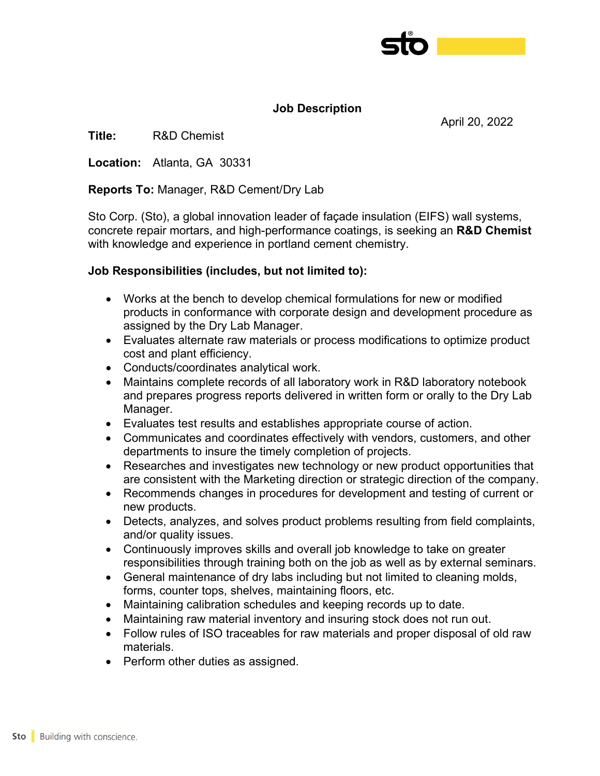

April 20, 2022

## **Job Description**

**Title:** R&D Chemist

**Location:** Atlanta, GA 30331

#### **Reports To:** Manager, R&D Cement/Dry Lab

Sto Corp. (Sto), a global innovation leader of façade insulation (EIFS) wall systems, concrete repair mortars, and high-performance coatings, is seeking an **R&D Chemist** with knowledge and experience in portland cement chemistry.

### **Job Responsibilities (includes, but not limited to):**

- Works at the bench to develop chemical formulations for new or modified products in conformance with corporate design and development procedure as assigned by the Dry Lab Manager.
- Evaluates alternate raw materials or process modifications to optimize product cost and plant efficiency.
- Conducts/coordinates analytical work.
- Maintains complete records of all laboratory work in R&D laboratory notebook and prepares progress reports delivered in written form or orally to the Dry Lab Manager.
- Evaluates test results and establishes appropriate course of action.
- Communicates and coordinates effectively with vendors, customers, and other departments to insure the timely completion of projects.
- Researches and investigates new technology or new product opportunities that are consistent with the Marketing direction or strategic direction of the company.
- Recommends changes in procedures for development and testing of current or new products.
- Detects, analyzes, and solves product problems resulting from field complaints, and/or quality issues.
- Continuously improves skills and overall job knowledge to take on greater responsibilities through training both on the job as well as by external seminars.
- General maintenance of dry labs including but not limited to cleaning molds, forms, counter tops, shelves, maintaining floors, etc.
- Maintaining calibration schedules and keeping records up to date.
- Maintaining raw material inventory and insuring stock does not run out.
- Follow rules of ISO traceables for raw materials and proper disposal of old raw materials.
- Perform other duties as assigned.